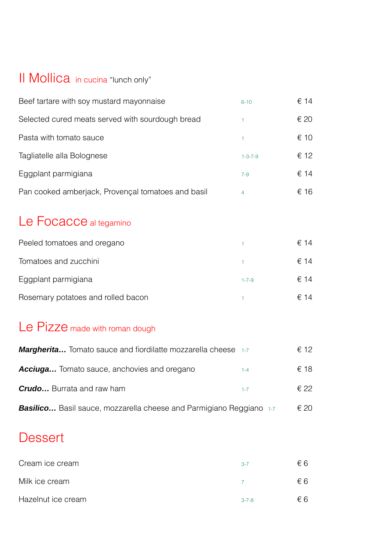# Il Mollica in cucina "lunch only"

| Beef tartare with soy mustard mayonnaise           | $6 - 10$        | € 14 |
|----------------------------------------------------|-----------------|------|
| Selected cured meats served with sourdough bread   |                 | € 20 |
| Pasta with tomato sauce                            |                 | € 10 |
| Tagliatelle alla Bolognese                         | $1 - 3 - 7 - 9$ | € 12 |
| Eggplant parmigiana                                | $7 - 9$         | € 14 |
| Pan cooked amberjack, Provençal tomatoes and basil | 4               | € 16 |

# Le Focacce al tegamino

| Peeled tomatoes and oregano        |             | € 14 |
|------------------------------------|-------------|------|
| Tomatoes and zucchini              |             | € 14 |
| Eggplant parmigiana                | $1 - 7 - 9$ | € 14 |
| Rosemary potatoes and rolled bacon |             | € 14 |

# Le Pizze made with roman dough

| <b>Margherita</b> Tomato sauce and fiordilatte mozzarella cheese 1-7       |         | € 12 |
|----------------------------------------------------------------------------|---------|------|
| <b>Acciuga</b> Tomato sauce, anchovies and oregano                         | $1 - 4$ | € 18 |
| <b>Crudo</b> Burrata and raw ham                                           | $1 - 7$ | € 22 |
| <b>Basilico</b> Basil sauce, mozzarella cheese and Parmigiano Reggiano 1-7 |         | € 20 |

#### **Dessert**

| Cream ice cream    | $3 - 7$     | €6  |
|--------------------|-------------|-----|
| Milk ice cream     |             | €6  |
| Hazelnut ice cream | $3 - 7 - 8$ | € 6 |